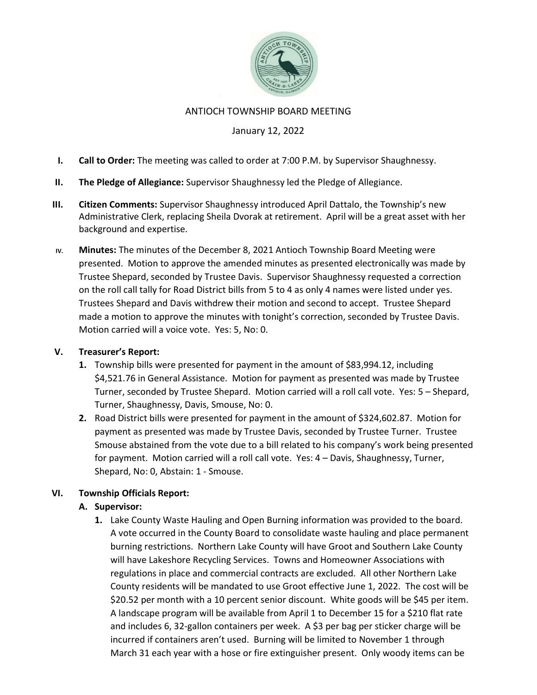

#### ANTIOCH TOWNSHIP BOARD MEETING

### January 12, 2022

- I. Call to Order: The meeting was called to order at 7:00 P.M. by Supervisor Shaughnessy.
- II. The Pledge of Allegiance: Supervisor Shaughnessy led the Pledge of Allegiance.
- III. Citizen Comments: Supervisor Shaughnessy introduced April Dattalo, the Township's new Administrative Clerk, replacing Sheila Dvorak at retirement. April will be a great asset with her background and expertise.
- IV. Minutes: The minutes of the December 8, 2021 Antioch Township Board Meeting were presented. Motion to approve the amended minutes as presented electronically was made by Trustee Shepard, seconded by Trustee Davis. Supervisor Shaughnessy requested a correction on the roll call tally for Road District bills from 5 to 4 as only 4 names were listed under yes. Trustees Shepard and Davis withdrew their motion and second to accept. Trustee Shepard made a motion to approve the minutes with tonight's correction, seconded by Trustee Davis. Motion carried will a voice vote. Yes: 5, No: 0.

#### V. Treasurer's Report:

- 1. Township bills were presented for payment in the amount of \$83,994.12, including \$4,521.76 in General Assistance. Motion for payment as presented was made by Trustee Turner, seconded by Trustee Shepard. Motion carried will a roll call vote. Yes: 5 – Shepard, Turner, Shaughnessy, Davis, Smouse, No: 0.
- 2. Road District bills were presented for payment in the amount of \$324,602.87. Motion for payment as presented was made by Trustee Davis, seconded by Trustee Turner. Trustee Smouse abstained from the vote due to a bill related to his company's work being presented for payment. Motion carried will a roll call vote. Yes: 4 – Davis, Shaughnessy, Turner, Shepard, No: 0, Abstain: 1 - Smouse.

### VI. Township Officials Report:

### A. Supervisor:

1. Lake County Waste Hauling and Open Burning information was provided to the board. A vote occurred in the County Board to consolidate waste hauling and place permanent burning restrictions. Northern Lake County will have Groot and Southern Lake County will have Lakeshore Recycling Services. Towns and Homeowner Associations with regulations in place and commercial contracts are excluded. All other Northern Lake County residents will be mandated to use Groot effective June 1, 2022. The cost will be \$20.52 per month with a 10 percent senior discount. White goods will be \$45 per item. A landscape program will be available from April 1 to December 15 for a \$210 flat rate and includes 6, 32-gallon containers per week. A \$3 per bag per sticker charge will be incurred if containers aren't used. Burning will be limited to November 1 through March 31 each year with a hose or fire extinguisher present. Only woody items can be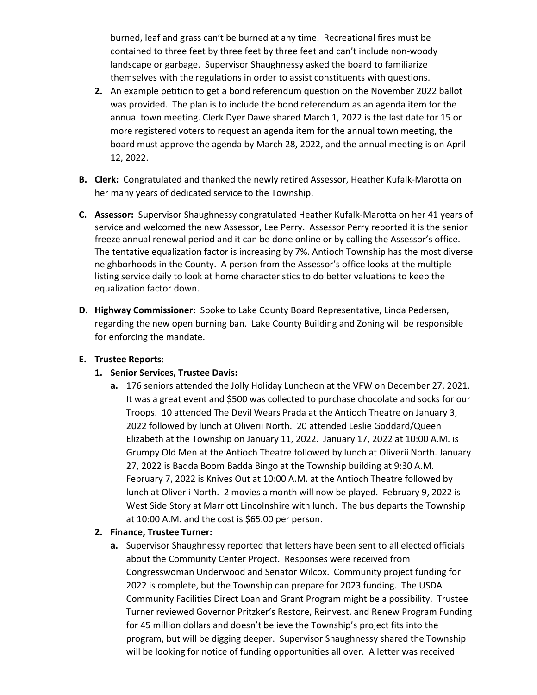burned, leaf and grass can't be burned at any time. Recreational fires must be contained to three feet by three feet by three feet and can't include non-woody landscape or garbage. Supervisor Shaughnessy asked the board to familiarize themselves with the regulations in order to assist constituents with questions.

- 2. An example petition to get a bond referendum question on the November 2022 ballot was provided. The plan is to include the bond referendum as an agenda item for the annual town meeting. Clerk Dyer Dawe shared March 1, 2022 is the last date for 15 or more registered voters to request an agenda item for the annual town meeting, the board must approve the agenda by March 28, 2022, and the annual meeting is on April 12, 2022.
- B. Clerk: Congratulated and thanked the newly retired Assessor, Heather Kufalk-Marotta on her many years of dedicated service to the Township.
- C. Assessor: Supervisor Shaughnessy congratulated Heather Kufalk-Marotta on her 41 years of service and welcomed the new Assessor, Lee Perry. Assessor Perry reported it is the senior freeze annual renewal period and it can be done online or by calling the Assessor's office. The tentative equalization factor is increasing by 7%. Antioch Township has the most diverse neighborhoods in the County. A person from the Assessor's office looks at the multiple listing service daily to look at home characteristics to do better valuations to keep the equalization factor down.
- D. Highway Commissioner: Spoke to Lake County Board Representative, Linda Pedersen, regarding the new open burning ban. Lake County Building and Zoning will be responsible for enforcing the mandate.

### E. Trustee Reports:

# 1. Senior Services, Trustee Davis:

a. 176 seniors attended the Jolly Holiday Luncheon at the VFW on December 27, 2021. It was a great event and \$500 was collected to purchase chocolate and socks for our Troops. 10 attended The Devil Wears Prada at the Antioch Theatre on January 3, 2022 followed by lunch at Oliverii North. 20 attended Leslie Goddard/Queen Elizabeth at the Township on January 11, 2022. January 17, 2022 at 10:00 A.M. is Grumpy Old Men at the Antioch Theatre followed by lunch at Oliverii North. January 27, 2022 is Badda Boom Badda Bingo at the Township building at 9:30 A.M. February 7, 2022 is Knives Out at 10:00 A.M. at the Antioch Theatre followed by lunch at Oliverii North. 2 movies a month will now be played. February 9, 2022 is West Side Story at Marriott Lincolnshire with lunch. The bus departs the Township at 10:00 A.M. and the cost is \$65.00 per person.

# 2. Finance, Trustee Turner:

a. Supervisor Shaughnessy reported that letters have been sent to all elected officials about the Community Center Project. Responses were received from Congresswoman Underwood and Senator Wilcox. Community project funding for 2022 is complete, but the Township can prepare for 2023 funding. The USDA Community Facilities Direct Loan and Grant Program might be a possibility. Trustee Turner reviewed Governor Pritzker's Restore, Reinvest, and Renew Program Funding for 45 million dollars and doesn't believe the Township's project fits into the program, but will be digging deeper. Supervisor Shaughnessy shared the Township will be looking for notice of funding opportunities all over. A letter was received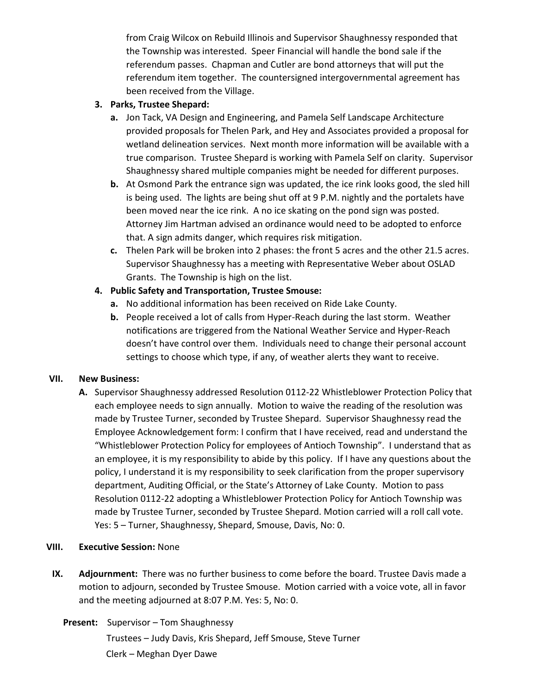from Craig Wilcox on Rebuild Illinois and Supervisor Shaughnessy responded that the Township was interested. Speer Financial will handle the bond sale if the referendum passes. Chapman and Cutler are bond attorneys that will put the referendum item together. The countersigned intergovernmental agreement has been received from the Village.

### 3. Parks, Trustee Shepard:

- a. Jon Tack, VA Design and Engineering, and Pamela Self Landscape Architecture provided proposals for Thelen Park, and Hey and Associates provided a proposal for wetland delineation services. Next month more information will be available with a true comparison. Trustee Shepard is working with Pamela Self on clarity. Supervisor Shaughnessy shared multiple companies might be needed for different purposes.
- b. At Osmond Park the entrance sign was updated, the ice rink looks good, the sled hill is being used. The lights are being shut off at 9 P.M. nightly and the portalets have been moved near the ice rink. A no ice skating on the pond sign was posted. Attorney Jim Hartman advised an ordinance would need to be adopted to enforce that. A sign admits danger, which requires risk mitigation.
- c. Thelen Park will be broken into 2 phases: the front 5 acres and the other 21.5 acres. Supervisor Shaughnessy has a meeting with Representative Weber about OSLAD Grants. The Township is high on the list.

# 4. Public Safety and Transportation, Trustee Smouse:

- a. No additional information has been received on Ride Lake County.
- b. People received a lot of calls from Hyper-Reach during the last storm. Weather notifications are triggered from the National Weather Service and Hyper-Reach doesn't have control over them. Individuals need to change their personal account settings to choose which type, if any, of weather alerts they want to receive.

# VII. New Business:

A. Supervisor Shaughnessy addressed Resolution 0112-22 Whistleblower Protection Policy that each employee needs to sign annually. Motion to waive the reading of the resolution was made by Trustee Turner, seconded by Trustee Shepard. Supervisor Shaughnessy read the Employee Acknowledgement form: I confirm that I have received, read and understand the "Whistleblower Protection Policy for employees of Antioch Township". I understand that as an employee, it is my responsibility to abide by this policy. If I have any questions about the policy, I understand it is my responsibility to seek clarification from the proper supervisory department, Auditing Official, or the State's Attorney of Lake County. Motion to pass Resolution 0112-22 adopting a Whistleblower Protection Policy for Antioch Township was made by Trustee Turner, seconded by Trustee Shepard. Motion carried will a roll call vote. Yes: 5 – Turner, Shaughnessy, Shepard, Smouse, Davis, No: 0.

### VIII. Executive Session: None

- IX. Adjournment: There was no further business to come before the board. Trustee Davis made a motion to adjourn, seconded by Trustee Smouse. Motion carried with a voice vote, all in favor and the meeting adjourned at 8:07 P.M. Yes: 5, No: 0.
	- Present: Supervisor Tom Shaughnessy

Trustees – Judy Davis, Kris Shepard, Jeff Smouse, Steve Turner Clerk – Meghan Dyer Dawe